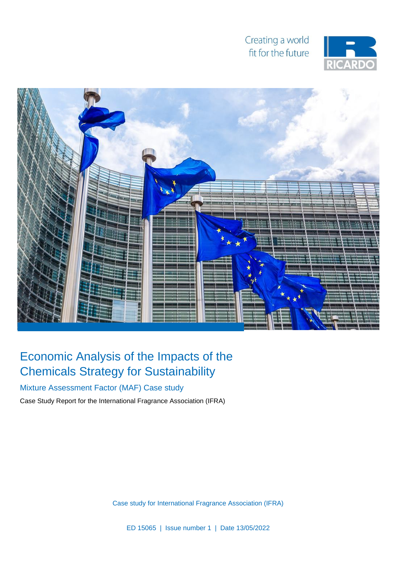Creating a world fit for the future





# Economic Analysis of the Impacts of the Chemicals Strategy for Sustainability

Mixture Assessment Factor (MAF) Case study

Case Study Report for the International Fragrance Association (IFRA)

Case study for International Fragrance Association (IFRA)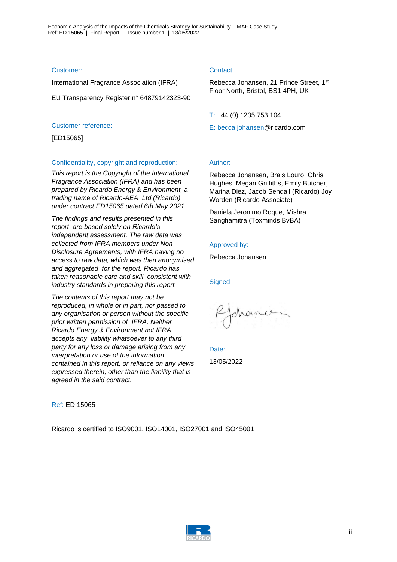#### Customer:

International Fragrance Association (IFRA)

EU Transparency Register n° 64879142323-90

[ED15065]

#### Confidentiality, copyright and reproduction:

*This report is the Copyright of the International Fragrance Association (IFRA) and has been prepared by Ricardo Energy & Environment, a trading name of Ricardo-AEA Ltd (Ricardo) under contract ED15065 dated 6th May 2021.* 

*The findings and results presented in this report are based solely on Ricardo's independent assessment. The raw data was collected from IFRA members under Non-Disclosure Agreements, with IFRA having no access to raw data, which was then anonymised and aggregated for the report. Ricardo has taken reasonable care and skill consistent with industry standards in preparing this report.*

*The contents of this report may not be reproduced, in whole or in part, nor passed to any organisation or person without the specific prior written permission of IFRA. Neither Ricardo Energy & Environment not IFRA accepts any liability whatsoever to any third party for any loss or damage arising from any interpretation or use of the information contained in this report, or reliance on any views expressed therein, other than the liability that is agreed in the said contract.*

Contact:

Rebecca Johansen, 21 Prince Street, 1st Floor North, Bristol, BS1 4PH, UK

T: +44 (0) 1235 753 104

Customer reference: E: becca.johansen@ricardo.com

#### Author:

Rebecca Johansen, Brais Louro, Chris Hughes, Megan Griffiths, Emily Butcher, Marina Diez, Jacob Sendall (Ricardo) Joy Worden (Ricardo Associate)

Daniela Jeronimo Roque, Mishra Sanghamitra (Toxminds BvBA)

#### Approved by:

Rebecca Johansen

**Signed** 

chance

Date: 13/05/2022

Ref: ED 15065

Ricardo is certified to ISO9001, ISO14001, ISO27001 and ISO45001

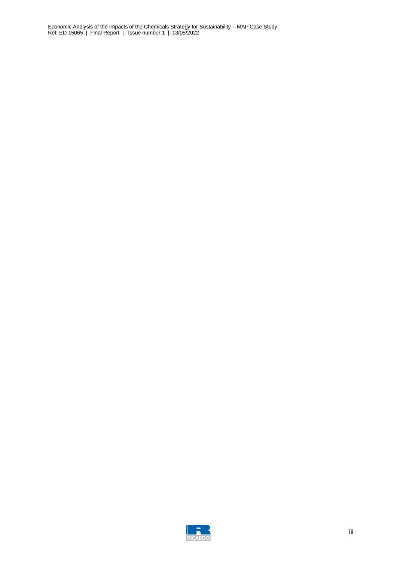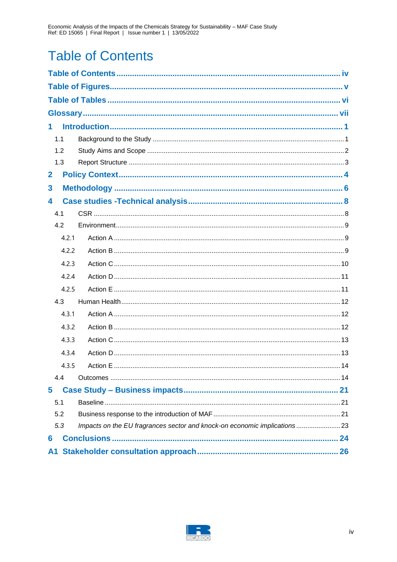# <span id="page-3-0"></span>**Table of Contents**

| 1            |                                                                          |  |
|--------------|--------------------------------------------------------------------------|--|
| 1.1          |                                                                          |  |
| 1.2          |                                                                          |  |
| 1.3          |                                                                          |  |
| $\mathbf{2}$ |                                                                          |  |
| 3            |                                                                          |  |
| 4            |                                                                          |  |
| 4.1          |                                                                          |  |
| 4.2          |                                                                          |  |
| 4.2.1        |                                                                          |  |
| 4.2.2        |                                                                          |  |
| 4.2.3        |                                                                          |  |
| 4.2.4        |                                                                          |  |
| 4.2.5        |                                                                          |  |
| 4.3          |                                                                          |  |
| 4.3.1        |                                                                          |  |
| 4.3.2        |                                                                          |  |
| 4.3.3        |                                                                          |  |
| 4.3.4        |                                                                          |  |
| 4.3.5        |                                                                          |  |
| 4.4          |                                                                          |  |
| 5            |                                                                          |  |
| 5.1          |                                                                          |  |
| 5.2          |                                                                          |  |
| 5.3          | Impacts on the EU fragrances sector and knock-on economic implications23 |  |
| 6            |                                                                          |  |
| A1           |                                                                          |  |

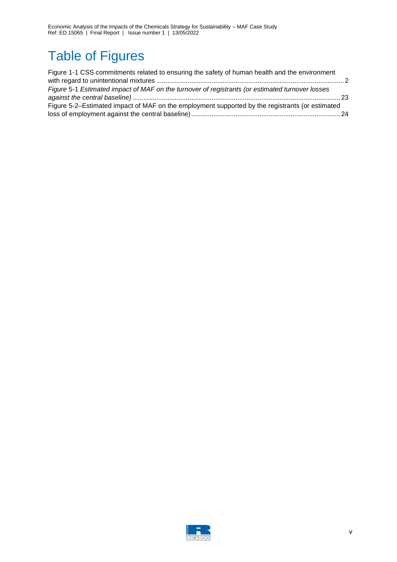# <span id="page-4-0"></span>Table of Figures

| Figure 1-1 CSS commitments related to ensuring the safety of human health and the environment   |  |
|-------------------------------------------------------------------------------------------------|--|
|                                                                                                 |  |
| Figure 5-1 Estimated impact of MAF on the turnover of registrants (or estimated turnover losses |  |
|                                                                                                 |  |
| Figure 5-2–Estimated impact of MAF on the employment supported by the registrants (or estimated |  |
|                                                                                                 |  |

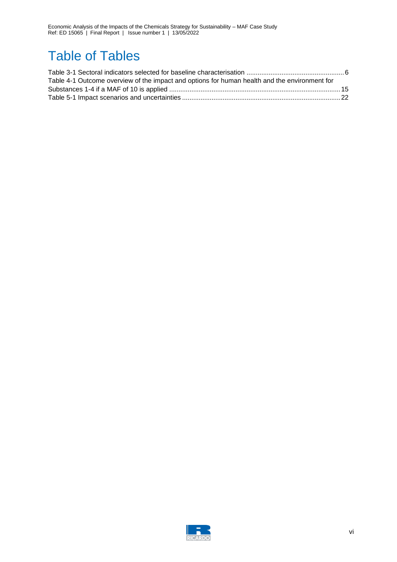# <span id="page-5-0"></span>Table of Tables

| Table 4-1 Outcome overview of the impact and options for human health and the environment for |  |
|-----------------------------------------------------------------------------------------------|--|
|                                                                                               |  |
|                                                                                               |  |

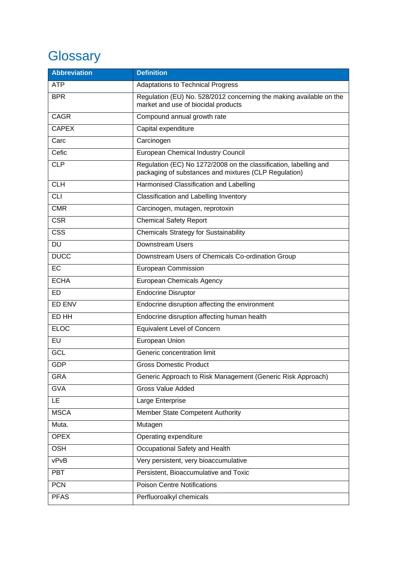# <span id="page-6-0"></span>**Glossary**

| <b>Abbreviation</b>               | <b>Definition</b>                                                                                                          |  |  |
|-----------------------------------|----------------------------------------------------------------------------------------------------------------------------|--|--|
| <b>ATP</b>                        | <b>Adaptations to Technical Progress</b>                                                                                   |  |  |
| <b>BPR</b>                        | Regulation (EU) No. 528/2012 concerning the making available on the<br>market and use of biocidal products                 |  |  |
| <b>CAGR</b>                       | Compound annual growth rate                                                                                                |  |  |
| <b>CAPEX</b>                      | Capital expenditure                                                                                                        |  |  |
| Carc                              | Carcinogen                                                                                                                 |  |  |
| Cefic                             | European Chemical Industry Council                                                                                         |  |  |
| <b>CLP</b>                        | Regulation (EC) No 1272/2008 on the classification, labelling and<br>packaging of substances and mixtures (CLP Regulation) |  |  |
| <b>CLH</b>                        | Harmonised Classification and Labelling                                                                                    |  |  |
| <b>CLI</b>                        | Classification and Labelling Inventory                                                                                     |  |  |
| <b>CMR</b>                        | Carcinogen, mutagen, reprotoxin                                                                                            |  |  |
| <b>CSR</b>                        | <b>Chemical Safety Report</b>                                                                                              |  |  |
| <b>CSS</b>                        | <b>Chemicals Strategy for Sustainability</b>                                                                               |  |  |
| $\overline{\mathsf{D}\mathsf{U}}$ | <b>Downstream Users</b>                                                                                                    |  |  |
| <b>DUCC</b>                       | Downstream Users of Chemicals Co-ordination Group                                                                          |  |  |
| $E$ C                             | <b>European Commission</b>                                                                                                 |  |  |
| <b>ECHA</b>                       | <b>European Chemicals Agency</b>                                                                                           |  |  |
| <b>ED</b>                         | <b>Endocrine Disruptor</b>                                                                                                 |  |  |
| <b>ED ENV</b>                     | Endocrine disruption affecting the environment                                                                             |  |  |
| ED HH                             | Endocrine disruption affecting human health                                                                                |  |  |
| <b>ELOC</b>                       | Equivalent Level of Concern                                                                                                |  |  |
| EU                                | European Union                                                                                                             |  |  |
| <b>GCL</b>                        | Generic concentration limit                                                                                                |  |  |
| <b>GDP</b>                        | <b>Gross Domestic Product</b>                                                                                              |  |  |
| <b>GRA</b>                        | Generic Approach to Risk Management (Generic Risk Approach)                                                                |  |  |
| <b>GVA</b>                        | <b>Gross Value Added</b>                                                                                                   |  |  |
| <b>LE</b>                         | Large Enterprise                                                                                                           |  |  |
| <b>MSCA</b>                       | Member State Competent Authority                                                                                           |  |  |
| Muta.                             | Mutagen                                                                                                                    |  |  |
| <b>OPEX</b>                       | Operating expenditure                                                                                                      |  |  |
| <b>OSH</b>                        | Occupational Safety and Health                                                                                             |  |  |
| vPvB                              | Very persistent, very bioaccumulative                                                                                      |  |  |
| PBT                               | Persistent, Bioaccumulative and Toxic                                                                                      |  |  |
| <b>PCN</b>                        | <b>Poison Centre Notifications</b>                                                                                         |  |  |
| <b>PFAS</b>                       | Perfluoroalkyl chemicals                                                                                                   |  |  |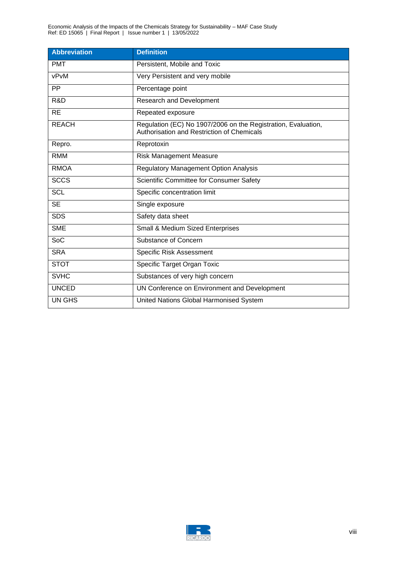| <b>Abbreviation</b> | <b>Definition</b>                                                                                           |  |  |
|---------------------|-------------------------------------------------------------------------------------------------------------|--|--|
| <b>PMT</b>          | Persistent, Mobile and Toxic                                                                                |  |  |
| vPvM                | Very Persistent and very mobile                                                                             |  |  |
| <b>PP</b>           | Percentage point                                                                                            |  |  |
| R&D                 | <b>Research and Development</b>                                                                             |  |  |
| <b>RE</b>           | Repeated exposure                                                                                           |  |  |
| <b>REACH</b>        | Regulation (EC) No 1907/2006 on the Registration, Evaluation,<br>Authorisation and Restriction of Chemicals |  |  |
| Repro.              | Reprotoxin                                                                                                  |  |  |
| <b>RMM</b>          | <b>Risk Management Measure</b>                                                                              |  |  |
| <b>RMOA</b>         | <b>Regulatory Management Option Analysis</b>                                                                |  |  |
| <b>SCCS</b>         | Scientific Committee for Consumer Safety                                                                    |  |  |
| <b>SCL</b>          | Specific concentration limit                                                                                |  |  |
| <b>SE</b>           | Single exposure                                                                                             |  |  |
| <b>SDS</b>          | Safety data sheet                                                                                           |  |  |
| <b>SME</b>          | <b>Small &amp; Medium Sized Enterprises</b>                                                                 |  |  |
| SoC                 | Substance of Concern                                                                                        |  |  |
| <b>SRA</b>          | <b>Specific Risk Assessment</b>                                                                             |  |  |
| <b>STOT</b>         | Specific Target Organ Toxic                                                                                 |  |  |
| <b>SVHC</b>         | Substances of very high concern                                                                             |  |  |
| <b>UNCED</b>        | UN Conference on Environment and Development                                                                |  |  |
| <b>UN GHS</b>       | United Nations Global Harmonised System                                                                     |  |  |

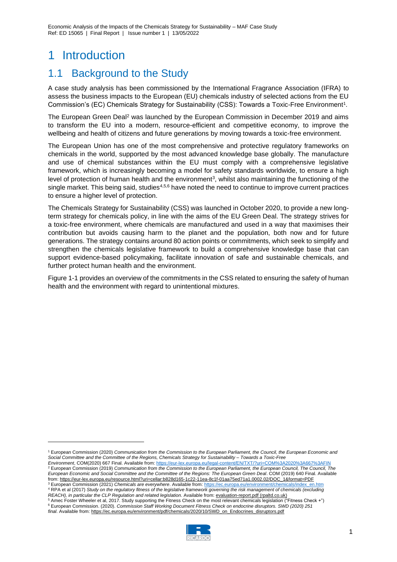# <span id="page-8-0"></span>1 Introduction

### <span id="page-8-1"></span>1.1 Background to the Study

A case study analysis has been commissioned by the International Fragrance Association (IFRA) to assess the business impacts to the European (EU) chemicals industry of selected actions from the EU Commission's (EC) Chemicals Strategy for Sustainability (CSS): Towards a Toxic-Free Environment<sup>1</sup>.

The European Green Deal<sup>2</sup> was launched by the European Commission in December 2019 and aims to transform the EU into a modern, resource-efficient and competitive economy, to improve the wellbeing and health of citizens and future generations by moving towards a toxic-free environment.

The European Union has one of the most comprehensive and protective regulatory frameworks on chemicals in the world, supported by the most advanced knowledge base globally. The manufacture and use of chemical substances within the EU must comply with a comprehensive legislative framework, which is increasingly becoming a model for safety standards worldwide, to ensure a high level of protection of human health and the environment<sup>3</sup>, whilst also maintaining the functioning of the single market. This being said, studies<sup>4,5,6</sup> have noted the need to continue to improve current practices to ensure a higher level of protection.

The Chemicals Strategy for Sustainability (CSS) was launched in October 2020, to provide a new longterm strategy for chemicals policy, in line with the aims of the EU Green Deal. The strategy strives for a toxic-free environment, where chemicals are manufactured and used in a way that maximises their contribution but avoids causing harm to the planet and the population, both now and for future generations. The strategy contains around 80 action points or commitments, which seek to simplify and strengthen the chemicals legislative framework to build a comprehensive knowledge base that can support evidence-based policymaking, facilitate innovation of safe and sustainable chemicals, and further protect human health and the environment.

[Figure 1-1](#page-9-1) provides an overview of the commitments in the CSS related to ensuring the safety of human health and the environment with regard to unintentional mixtures.

<sup>5</sup> Amec Foster Wheeler et al, 2017. Study supporting the Fitness Check on the most relevant chemicals legislation ("Fitness Check +") <sup>6</sup> European Commission. (2020). *Commission Staff Working Document Fitness Check on endocrine disruptors. SWD (2020) 251 final*. Available from: [https://ec.europa.eu/environment/pdf/chemicals/2020/10/SWD\\_on\\_Endocrines\\_disruptors.pdf](https://ec.europa.eu/environment/pdf/chemicals/2020/10/SWD_on_Endocrines_disruptors.pdf)



<sup>1</sup> European Commission (2020) *Communication from the Commission to the European Parliament, the Council, the European Economic and Social Committee and the Committee of the Regions, Chemicals Strategy for Sustainability – Towards a Toxic-Free* 

*Environment*, COM(2020) 667 Final. Available from: <https://eur-lex.europa.eu/legal-content/EN/TXT/?uri=COM%3A2020%3A667%3AFIN> <sup>2</sup> European Commission (2019) *Communication from the Commission to the European Parliament, the European Council, The Council, The European Economic and Social Committee and the Committee of the Regions: The European Green Deal*. COM (2019) 640 Final. Available from: [https://eur-lex.europa.eu/resource.html?uri=cellar:b828d165-1c22-11ea-8c1f-01aa75ed71a1.0002.02/DOC\\_1&format=PDF](https://eur-lex.europa.eu/resource.html?uri=cellar:b828d165-1c22-11ea-8c1f-01aa75ed71a1.0002.02/DOC_1&format=PDF)

<sup>3</sup> European Commission (2021) *Chemicals are everywhere*. Available from[: https://ec.europa.eu/environment/chemicals/index\\_en.htm](https://ec.europa.eu/environment/chemicals/index_en.htm) <sup>4</sup> RPA et al (2017) *Study on the regulatory fitness of the legislative framework governing the risk management of chemicals (excluding REACH), in particular the CLP Regulation and related legislation.* Available from[: evaluation-report.pdf \(rpaltd.co.uk\)](https://rpaltd.co.uk/uploads/report_files/evaluation-report.pdf)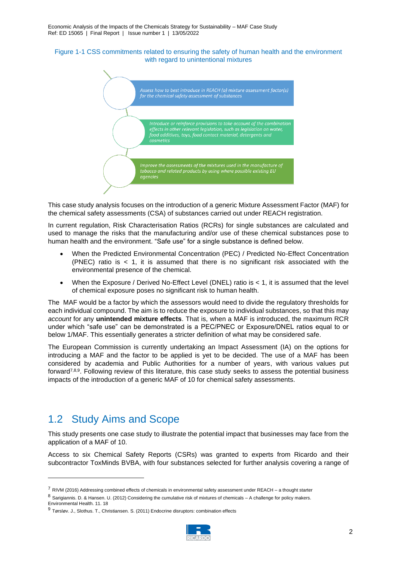<span id="page-9-1"></span>



This case study analysis focuses on the introduction of a generic Mixture Assessment Factor (MAF) for the chemical safety assessments (CSA) of substances carried out under REACH registration.

In current regulation, Risk Characterisation Ratios (RCRs) for single substances are calculated and used to manage the risks that the manufacturing and/or use of these chemical substances pose to human health and the environment. "Safe use" for a single substance is defined below.

- When the Predicted Environmental Concentration (PEC) / Predicted No-Effect Concentration (PNEC) ratio is  $\lt$  1, it is assumed that there is no significant risk associated with the environmental presence of the chemical.
- When the Exposure / Derived No-Effect Level (DNEL) ratio is < 1, it is assumed that the level of chemical exposure poses no significant risk to human health.

The MAF would be a factor by which the assessors would need to divide the regulatory thresholds for each individual compound. The aim is to reduce the exposure to individual substances, so that this may *account* for any **unintended mixture effects**. That is, when a MAF is introduced, the maximum RCR under which "safe use" can be demonstrated is a PEC/PNEC or Exposure/DNEL ratios equal to or below 1/MAF. This essentially generates a stricter definition of what may be considered safe.

The European Commission is currently undertaking an Impact Assessment (IA) on the options for introducing a MAF and the factor to be applied is yet to be decided. The use of a MAF has been considered by academia and Public Authorities for a number of years, with various values put forward<sup>7,8,9</sup>. Following review of this literature, this case study seeks to assess the potential business impacts of the introduction of a generic MAF of 10 for chemical safety assessments.

### <span id="page-9-0"></span>1.2 Study Aims and Scope

This study presents one case study to illustrate the potential impact that businesses may face from the application of a MAF of 10.

Access to six Chemical Safety Reports (CSRs) was granted to experts from Ricardo and their subcontractor ToxMinds BVBA, with four substances selected for further analysis covering a range of

<sup>9</sup> Tørsløv. J., Slothus. T., Christiansen. S. (2011) Endocrine disruptors: combination effects



<sup>7</sup> RIVM (2016) Addressing combined effects of chemicals in environmental safety assessment under REACH – a thought starter

<sup>8</sup> Sarigiannis. D. & Hansen. U. (2012) Considering the cumulative risk of mixtures of chemicals – A challenge for policy makers.

Environmental Health. 11. 18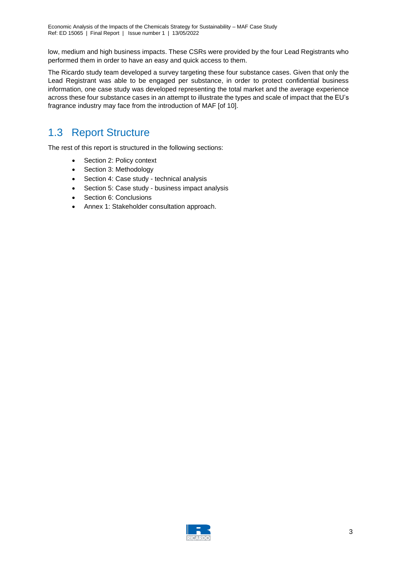low, medium and high business impacts. These CSRs were provided by the four Lead Registrants who performed them in order to have an easy and quick access to them.

The Ricardo study team developed a survey targeting these four substance cases. Given that only the Lead Registrant was able to be engaged per substance, in order to protect confidential business information, one case study was developed representing the total market and the average experience across these four substance cases in an attempt to illustrate the types and scale of impact that the EU's fragrance industry may face from the introduction of MAF [of 10].

### <span id="page-10-0"></span>1.3 Report Structure

The rest of this report is structured in the following sections:

- Section 2: Policy context
- Section 3: Methodology
- Section 4: Case study technical analysis
- Section 5: Case study business impact analysis
- Section 6: Conclusions
- Annex 1: Stakeholder consultation approach.

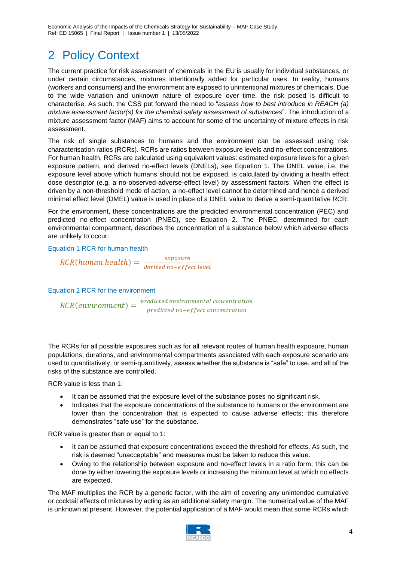# <span id="page-11-0"></span>2 Policy Context

The current practice for risk assessment of chemicals in the EU is usually for individual substances, or under certain circumstances, mixtures intentionally added for particular uses. In reality, humans (workers and consumers) and the environment are exposed to unintentional mixtures of chemicals. Due to the wide variation and unknown nature of exposure over time, the risk posed is difficult to characterise. As such, the CSS put forward the need to "*assess how to best introduce in REACH (a) mixture assessment factor(s) for the chemical safety assessment of substances*". The introduction of a mixture assessment factor (MAF) aims to account for some of the uncertainty of mixture effects in risk assessment.

The risk of single substances to humans and the environment can be assessed using risk characterisation ratios (RCRs). RCRs are ratios between exposure levels and no-effect concentrations. For human health, RCRs are calculated using equivalent values: estimated exposure levels for a given exposure pattern, and derived no-effect levels (DNELs), see [Equation 1.](#page-11-1) The DNEL value, i.e. the exposure level above which humans should not be exposed, is calculated by dividing a health effect dose descriptor (e.g. a no-observed-adverse-effect level) by assessment factors. When the effect is driven by a non-threshold mode of action, a no-effect level cannot be determined and hence a derived minimal effect level (DMEL) value is used in place of a DNEL value to derive a semi-quantitative RCR.

For the environment, these concentrations are the predicted environmental concentration (PEC) and predicted no-effect concentration (PNEC), see [Equation 2.](#page-11-2) The PNEC, determined for each environmental compartment, describes the concentration of a substance below which adverse effects are unlikely to occur.

<span id="page-11-1"></span>Equation 1 RCR for human health

 $RCR(human\ health) = \frac{exposure}{diamimeation\ offoot.}$ derived no-effect level

<span id="page-11-2"></span>Equation 2 RCR for the environment

 $RCR$ (environment) =  $\frac{predicted$  environmental concentration <u>eaittea environmental concentration</u><br>predicted no−effect concentration

The RCRs for all possible exposures such as for all relevant routes of human health exposure, human populations, durations, and environmental compartments associated with each exposure scenario are used to quantitatively, or semi-quantitively, assess whether the substance is "safe" to use, and all of the risks of the substance are controlled.

RCR value is less than 1:

- It can be assumed that the exposure level of the substance poses no significant risk.
- Indicates that the exposure concentrations of the substance to humans or the environment are lower than the concentration that is expected to cause adverse effects; this therefore demonstrates "safe use" for the substance.

RCR value is greater than or equal to 1:

- It can be assumed that exposure concentrations exceed the threshold for effects. As such, the risk is deemed "unacceptable" and measures must be taken to reduce this value.
- Owing to the relationship between exposure and no-effect levels in a ratio form, this can be done by either lowering the exposure levels or increasing the minimum level at which no effects are expected.

The MAF multiplies the RCR by a generic factor, with the aim of covering any unintended cumulative or cocktail effects of mixtures by acting as an additional safety margin. The numerical value of the MAF is unknown at present. However, the potential application of a MAF would mean that some RCRs which

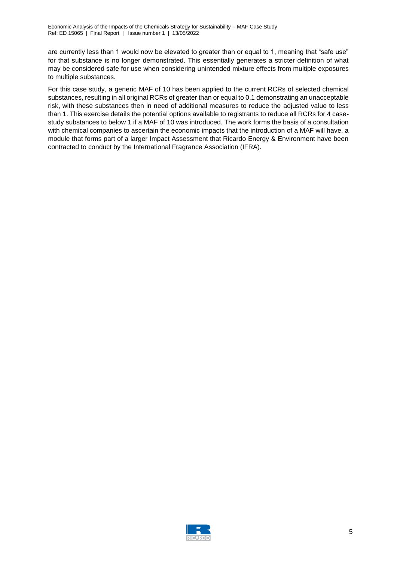are currently less than 1 would now be elevated to greater than or equal to 1, meaning that "safe use" for that substance is no longer demonstrated. This essentially generates a stricter definition of what may be considered safe for use when considering unintended mixture effects from multiple exposures to multiple substances.

For this case study, a generic MAF of 10 has been applied to the current RCRs of selected chemical substances, resulting in all original RCRs of greater than or equal to 0.1 demonstrating an unacceptable risk, with these substances then in need of additional measures to reduce the adjusted value to less than 1. This exercise details the potential options available to registrants to reduce all RCRs for 4 casestudy substances to below 1 if a MAF of 10 was introduced. The work forms the basis of a consultation with chemical companies to ascertain the economic impacts that the introduction of a MAF will have, a module that forms part of a larger Impact Assessment that Ricardo Energy & Environment have been contracted to conduct by the International Fragrance Association (IFRA).

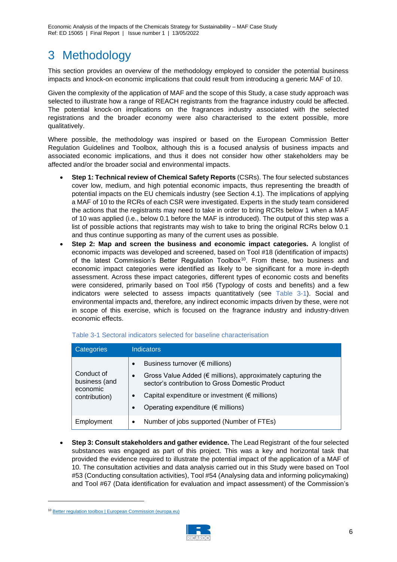# <span id="page-13-0"></span>3 Methodology

This section provides an overview of the methodology employed to consider the potential business impacts and knock-on economic implications that could result from introducing a generic MAF of 10.

Given the complexity of the application of MAF and the scope of this Study, a case study approach was selected to illustrate how a range of REACH registrants from the fragrance industry could be affected. The potential knock-on implications on the fragrances industry associated with the selected registrations and the broader economy were also characterised to the extent possible, more qualitatively.

Where possible, the methodology was inspired or based on the European Commission Better Regulation Guidelines and Toolbox, although this is a focused analysis of business impacts and associated economic implications, and thus it does not consider how other stakeholders may be affected and/or the broader social and environmental impacts.

- **Step 1: Technical review of Chemical Safety Reports** (CSRs). The four selected substances cover low, medium, and high potential economic impacts, thus representing the breadth of potential impacts on the EU chemicals industry (see Section [4.1\)](#page-15-1). The implications of applying a MAF of 10 to the RCRs of each CSR were investigated. Experts in the study team considered the actions that the registrants may need to take in order to bring RCRs below 1 when a MAF of 10 was applied (i.e., below 0.1 before the MAF is introduced). The output of this step was a list of possible actions that registrants may wish to take to bring the original RCRs below 0.1 and thus continue supporting as many of the current uses as possible.
- **Step 2: Map and screen the business and economic impact categories.** A longlist of economic impacts was developed and screened, based on Tool #18 (identification of impacts) of the latest Commission's Better Regulation Toolbox<sup>10</sup>. From these, two business and economic impact categories were identified as likely to be significant for a more in-depth assessment. Across these impact categories, different types of economic costs and benefits were considered, primarily based on Tool #56 (Typology of costs and benefits) and a few indicators were selected to assess impacts quantitatively (see [Table 3-1\)](#page-13-1). Social and environmental impacts and, therefore, any indirect economic impacts driven by these, were not in scope of this exercise, which is focused on the fragrance industry and industry-driven economic effects.

| Categories                              | <b>Indicators</b>                                                                                                        |  |  |  |  |
|-----------------------------------------|--------------------------------------------------------------------------------------------------------------------------|--|--|--|--|
|                                         | Business turnover ( $\epsilon$ millions)                                                                                 |  |  |  |  |
| Conduct of<br>business (and<br>economic | Gross Value Added ( $\epsilon$ millions), approximately capturing the<br>sector's contribution to Gross Domestic Product |  |  |  |  |
| contribution)                           | Capital expenditure or investment ( $\epsilon$ millions)                                                                 |  |  |  |  |
|                                         | Operating expenditure ( $\epsilon$ millions)                                                                             |  |  |  |  |
| Employment                              | Number of jobs supported (Number of FTEs)                                                                                |  |  |  |  |

#### <span id="page-13-1"></span>Table 3-1 Sectoral indicators selected for baseline characterisation

• **Step 3: Consult stakeholders and gather evidence.** The Lead Registrant of the four selected substances was engaged as part of this project. This was a key and horizontal task that provided the evidence required to illustrate the potential impact of the application of a MAF of 10. The consultation activities and data analysis carried out in this Study were based on Tool #53 (Conducting consultation activities), Tool #54 (Analysing data and informing policymaking) and Tool #67 (Data identification for evaluation and impact assessment) of the Commission's

<sup>10</sup> [Better regulation toolbox | European Commission \(europa.eu\)](https://ec.europa.eu/info/law/law-making-process/planning-and-proposing-law/better-regulation-why-and-how/better-regulation-guidelines-and-toolbox/better-regulation-toolbox-0_en)

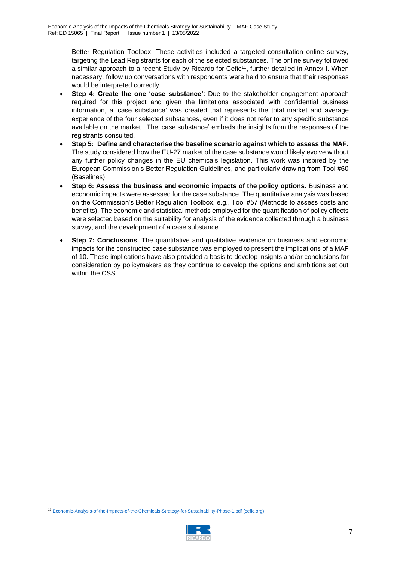Better Regulation Toolbox. These activities included a targeted consultation online survey, targeting the Lead Registrants for each of the selected substances. The online survey followed a similar approach to a recent Study by Ricardo for Cefic<sup>11</sup>, further detailed in Annex I. When necessary, follow up conversations with respondents were held to ensure that their responses would be interpreted correctly.

- **Step 4: Create the one 'case substance'**: Due to the stakeholder engagement approach required for this project and given the limitations associated with confidential business information, a 'case substance' was created that represents the total market and average experience of the four selected substances, even if it does not refer to any specific substance available on the market. The 'case substance' embeds the insights from the responses of the registrants consulted.
- **Step 5: Define and characterise the baseline scenario against which to assess the MAF.** The study considered how the EU-27 market of the case substance would likely evolve without any further policy changes in the EU chemicals legislation. This work was inspired by the European Commission's Better Regulation Guidelines, and particularly drawing from Tool #60 (Baselines).
- **Step 6: Assess the business and economic impacts of the policy options.** Business and economic impacts were assessed for the case substance. The quantitative analysis was based on the Commission's Better Regulation Toolbox, e.g., Tool #57 (Methods to assess costs and benefits). The economic and statistical methods employed for the quantification of policy effects were selected based on the suitability for analysis of the evidence collected through a business survey, and the development of a case substance.
- **Step 7: Conclusions.** The quantitative and qualitative evidence on business and economic impacts for the constructed case substance was employed to present the implications of a MAF of 10. These implications have also provided a basis to develop insights and/or conclusions for consideration by policymakers as they continue to develop the options and ambitions set out within the CSS.

<sup>11</sup> [Economic-Analysis-of-the-Impacts-of-the-Chemicals-Strategy-for-Sustainability-Phase-1.pdf \(cefic.org\)](https://cefic.org/app/uploads/2021/12/Economic-Analysis-of-the-Impacts-of-the-Chemicals-Strategy-for-Sustainability-Phase-1.pdf).

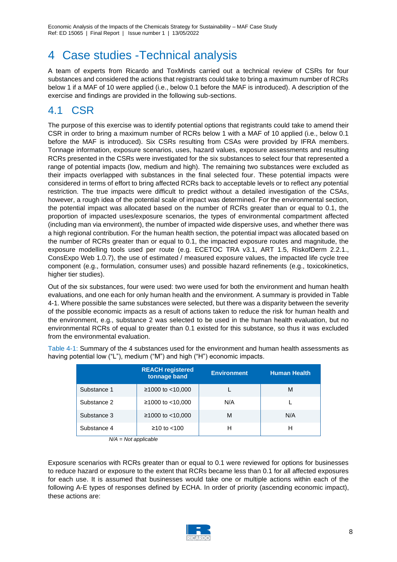# <span id="page-15-0"></span>4 Case studies -Technical analysis

A team of experts from Ricardo and ToxMinds carried out a technical review of CSRs for four substances and considered the actions that registrants could take to bring a maximum number of RCRs below 1 if a MAF of 10 were applied (i.e., below 0.1 before the MAF is introduced). A description of the exercise and findings are provided in the following sub-sections.

### <span id="page-15-1"></span>4.1 CSR

The purpose of this exercise was to identify potential options that registrants could take to amend their CSR in order to bring a maximum number of RCRs below 1 with a MAF of 10 applied (i.e., below 0.1 before the MAF is introduced). Six CSRs resulting from CSAs were provided by IFRA members. Tonnage information, exposure scenarios, uses, hazard values, exposure assessments and resulting RCRs presented in the CSRs were investigated for the six substances to select four that represented a range of potential impacts (low, medium and high). The remaining two substances were excluded as their impacts overlapped with substances in the final selected four. These potential impacts were considered in terms of effort to bring affected RCRs back to acceptable levels or to reflect any potential restriction. The true impacts were difficult to predict without a detailed investigation of the CSAs, however, a rough idea of the potential scale of impact was determined. For the environmental section, the potential impact was allocated based on the number of RCRs greater than or equal to 0.1, the proportion of impacted uses/exposure scenarios, the types of environmental compartment affected (including man via environment), the number of impacted wide dispersive uses, and whether there was a high regional contribution. For the human health section, the potential impact was allocated based on the number of RCRs greater than or equal to 0.1, the impacted exposure routes and magnitude, the exposure modelling tools used per route (e.g. ECETOC TRA v3.1, ART 1.5, RiskofDerm 2.2.1., ConsExpo Web 1.0.7), the use of estimated / measured exposure values, the impacted life cycle tree component (e.g., formulation, consumer uses) and possible hazard refinements (e.g., toxicokinetics, higher tier studies).

Out of the six substances, four were used: two were used for both the environment and human health evaluations, and one each for only human health and the environment. A summary is provided in [Table](#page-15-2)  [4-1.](#page-15-2) Where possible the same substances were selected, but there was a disparity between the severity of the possible economic impacts as a result of actions taken to reduce the risk for human health and the environment, e.g., substance 2 was selected to be used in the human health evaluation, but no environmental RCRs of equal to greater than 0.1 existed for this substance, so thus it was excluded from the environmental evaluation.

<span id="page-15-2"></span>Table 4-1: Summary of the 4 substances used for the environment and human health assessments as having potential low ("L"), medium ("M") and high ("H") economic impacts.

|             | <b>REACH registered</b><br>tonnage band | <b>Environment</b> | <b>Human Health</b> |
|-------------|-----------------------------------------|--------------------|---------------------|
| Substance 1 | $≥1000$ to <10,000                      |                    | M                   |
| Substance 2 | $≥1000$ to <10,000                      | N/A                |                     |
| Substance 3 | $≥1000$ to <10,000                      | М                  | N/A                 |
| Substance 4 | $≥10$ to <100                           | н                  | н                   |

*N/A = Not applicable*

Exposure scenarios with RCRs greater than or equal to 0.1 were reviewed for options for businesses to reduce hazard or exposure to the extent that RCRs became less than 0.1 for all affected exposures for each use. It is assumed that businesses would take one or multiple actions within each of the following A-E types of responses defined by ECHA. In order of priority (ascending economic impact), these actions are:

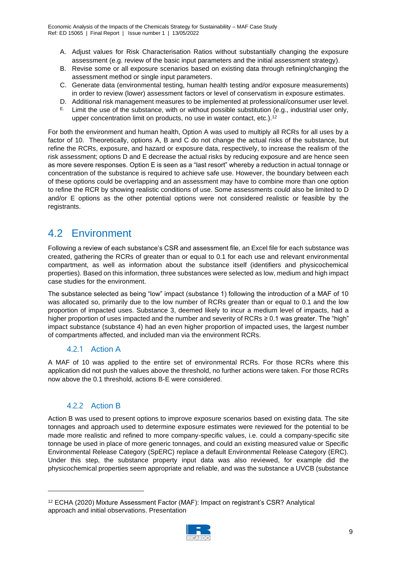- A. Adjust values for Risk Characterisation Ratios without substantially changing the exposure assessment (e.g. review of the basic input parameters and the initial assessment strategy).
- B. Revise some or all exposure scenarios based on existing data through refining/changing the assessment method or single input parameters.
- C. Generate data (environmental testing, human health testing and/or exposure measurements) in order to review (lower) assessment factors or level of conservatism in exposure estimates.
- D. Additional risk management measures to be implemented at professional/consumer user level.
- $E_{\text{m}}$  Limit the use of the substance, with or without possible substitution (e.g., industrial user only, upper concentration limit on products, no use in water contact, etc.).<sup>12</sup>

For both the environment and human health, Option A was used to multiply all RCRs for all uses by a factor of 10. Theoretically, options A, B and C do not change the actual risks of the substance, but refine the RCRs, exposure, and hazard or exposure data, respectively, to increase the realism of the risk assessment; options D and E decrease the actual risks by reducing exposure and are hence seen as more severe responses. Option E is seen as a "last resort" whereby a reduction in actual tonnage or concentration of the substance is required to achieve safe use. However, the boundary between each of these options could be overlapping and an assessment may have to combine more than one option to refine the RCR by showing realistic conditions of use. Some assessments could also be limited to D and/or E options as the other potential options were not considered realistic or feasible by the registrants.

### <span id="page-16-0"></span>4.2 Environment

Following a review of each substance's CSR and assessment file, an Excel file for each substance was created, gathering the RCRs of greater than or equal to 0.1 for each use and relevant environmental compartment, as well as information about the substance itself (identifiers and physicochemical properties). Based on this information, three substances were selected as low, medium and high impact case studies for the environment.

The substance selected as being "low" impact (substance 1) following the introduction of a MAF of 10 was allocated so, primarily due to the low number of RCRs greater than or equal to 0.1 and the low proportion of impacted uses. Substance 3, deemed likely to incur a medium level of impacts, had a higher proportion of uses impacted and the number and severity of RCRs ≥ 0.1 was greater. The "high" impact substance (substance 4) had an even higher proportion of impacted uses, the largest number of compartments affected, and included man via the environment RCRs.

#### 4.2.1 Action A

<span id="page-16-1"></span>A MAF of 10 was applied to the entire set of environmental RCRs. For those RCRs where this application did not push the values above the threshold, no further actions were taken. For those RCRs now above the 0.1 threshold, actions B-E were considered.

#### 4.2.2 Action B

<span id="page-16-2"></span>Action B was used to present options to improve exposure scenarios based on existing data. The site tonnages and approach used to determine exposure estimates were reviewed for the potential to be made more realistic and refined to more company-specific values, i.e. could a company-specific site tonnage be used in place of more generic tonnages, and could an existing measured value or Specific Environmental Release Category (SpERC) replace a default Environmental Release Category (ERC). Under this step, the substance property input data was also reviewed, for example did the physicochemical properties seem appropriate and reliable, and was the substance a UVCB (substance

<sup>12</sup> ECHA (2020) Mixture Assessment Factor (MAF): Impact on registrant's CSR? Analytical approach and initial observations. Presentation

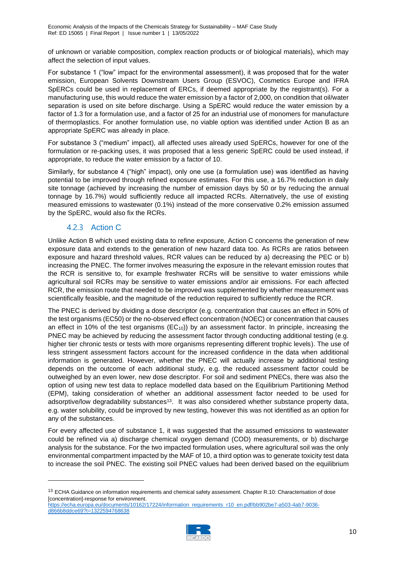of unknown or variable composition, complex reaction products or of biological materials), which may affect the selection of input values.

For substance 1 ("low" impact for the environmental assessment), it was proposed that for the water emission, European Solvents Downstream Users Group (ESVOC), Cosmetics Europe and IFRA SpERCs could be used in replacement of ERCs, if deemed appropriate by the registrant(s). For a manufacturing use, this would reduce the water emission by a factor of 2,000, on condition that oil/water separation is used on site before discharge. Using a SpERC would reduce the water emission by a factor of 1.3 for a formulation use, and a factor of 25 for an industrial use of monomers for manufacture of thermoplastics. For another formulation use, no viable option was identified under Action B as an appropriate SpERC was already in place.

For substance 3 ("medium" impact), all affected uses already used SpERCs, however for one of the formulation or re-packing uses, it was proposed that a less generic SpERC could be used instead, if appropriate, to reduce the water emission by a factor of 10.

Similarly, for substance 4 ("high" impact), only one use (a formulation use) was identified as having potential to be improved through refined exposure estimates. For this use, a 16.7% reduction in daily site tonnage (achieved by increasing the number of emission days by 50 or by reducing the annual tonnage by 16.7%) would sufficiently reduce all impacted RCRs. Alternatively, the use of existing measured emissions to wastewater (0.1%) instead of the more conservative 0.2% emission assumed by the SpERC, would also fix the RCRs.

#### 4.2.3 Action C

<span id="page-17-0"></span>Unlike Action B which used existing data to refine exposure, Action C concerns the generation of new exposure data and extends to the generation of new hazard data too. As RCRs are ratios between exposure and hazard threshold values, RCR values can be reduced by a) decreasing the PEC or b) increasing the PNEC. The former involves measuring the exposure in the relevant emission routes that the RCR is sensitive to, for example freshwater RCRs will be sensitive to water emissions while agricultural soil RCRs may be sensitive to water emissions and/or air emissions. For each affected RCR, the emission route that needed to be improved was supplemented by whether measurement was scientifically feasible, and the magnitude of the reduction required to sufficiently reduce the RCR.

The PNEC is derived by dividing a dose descriptor (e.g. concentration that causes an effect in 50% of the test organisms (EC50) or the no-observed effect concentration (NOEC) or concentration that causes an effect in 10% of the test organisms  $(EC_{10})$  by an assessment factor. In principle, increasing the PNEC may be achieved by reducing the assessment factor through conducting additional testing (e.g. higher tier chronic tests or tests with more organisms representing different trophic levels). The use of less stringent assessment factors account for the increased confidence in the data when additional information is generated. However, whether the PNEC will actually increase by additional testing depends on the outcome of each additional study, e.g. the reduced assessment factor could be outweighed by an even lower, new dose descriptor. For soil and sediment PNECs, there was also the option of using new test data to replace modelled data based on the Equilibrium Partitioning Method (EPM), taking consideration of whether an additional assessment factor needed to be used for adsorptive/low degradability substances<sup>13</sup>. It was also considered whether substance property data, e.g. water solubility, could be improved by new testing, however this was not identified as an option for any of the substances.

For every affected use of substance 1, it was suggested that the assumed emissions to wastewater could be refined via a) discharge chemical oxygen demand (COD) measurements, or b) discharge analysis for the substance. For the two impacted formulation uses, where agricultural soil was the only environmental compartment impacted by the MAF of 10, a third option was to generate toxicity test data to increase the soil PNEC. The existing soil PNEC values had been derived based on the equilibrium

[https://echa.europa.eu/documents/10162/17224/information\\_requirements\\_r10\\_en.pdf/bb902be7-a503-4ab7-9036](https://echa.europa.eu/documents/10162/17224/information_requirements_r10_en.pdf/bb902be7-a503-4ab7-9036-d866b8ddce69?t=1322594768638) [d866b8ddce69?t=1322594768638](https://echa.europa.eu/documents/10162/17224/information_requirements_r10_en.pdf/bb902be7-a503-4ab7-9036-d866b8ddce69?t=1322594768638)



<sup>&</sup>lt;sup>13</sup> ECHA Guidance on information requirements and chemical safety assessment. Chapter R.10: Characterisation of dose [concentration]-response for environment.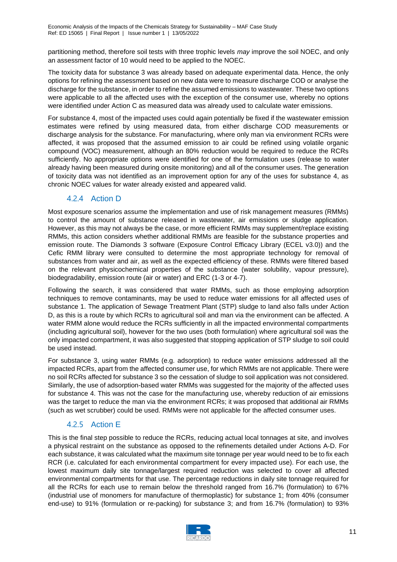partitioning method, therefore soil tests with three trophic levels *may* improve the soil NOEC, and only an assessment factor of 10 would need to be applied to the NOEC.

The toxicity data for substance 3 was already based on adequate experimental data. Hence, the only options for refining the assessment based on new data were to measure discharge COD or analyse the discharge for the substance, in order to refine the assumed emissions to wastewater. These two options were applicable to all the affected uses with the exception of the consumer use, whereby no options were identified under Action C as measured data was already used to calculate water emissions.

For substance 4, most of the impacted uses could again potentially be fixed if the wastewater emission estimates were refined by using measured data, from either discharge COD measurements or discharge analysis for the substance. For manufacturing, where only man via environment RCRs were affected, it was proposed that the assumed emission to air could be refined using volatile organic compound (VOC) measurement, although an 80% reduction would be required to reduce the RCRs sufficiently. No appropriate options were identified for one of the formulation uses (release to water already having been measured during onsite monitoring) and all of the consumer uses. The generation of toxicity data was not identified as an improvement option for any of the uses for substance 4, as chronic NOEC values for water already existed and appeared valid.

#### 4.2.4 Action D

<span id="page-18-0"></span>Most exposure scenarios assume the implementation and use of risk management measures (RMMs) to control the amount of substance released in wastewater, air emissions or sludge application. However, as this may not always be the case, or more efficient RMMs may supplement/replace existing RMMs, this action considers whether additional RMMs are feasible for the substance properties and emission route. The Diamonds 3 software (Exposure Control Efficacy Library (ECEL v3.0)) and the Cefic RMM library were consulted to determine the most appropriate technology for removal of substances from water and air, as well as the expected efficiency of these. RMMs were filtered based on the relevant physicochemical properties of the substance (water solubility, vapour pressure), biodegradability, emission route (air or water) and ERC (1-3 or 4-7).

Following the search, it was considered that water RMMs, such as those employing adsorption techniques to remove contaminants, may be used to reduce water emissions for all affected uses of substance 1. The application of Sewage Treatment Plant (STP) sludge to land also falls under Action D, as this is a route by which RCRs to agricultural soil and man via the environment can be affected. A water RMM alone would reduce the RCRs sufficiently in all the impacted environmental compartments (including agricultural soil), however for the two uses (both formulation) where agricultural soil was the only impacted compartment, it was also suggested that stopping application of STP sludge to soil could be used instead.

For substance 3, using water RMMs (e.g. adsorption) to reduce water emissions addressed all the impacted RCRs, apart from the affected consumer use, for which RMMs are not applicable. There were no soil RCRs affected for substance 3 so the cessation of sludge to soil application was not considered. Similarly, the use of adsorption-based water RMMs was suggested for the majority of the affected uses for substance 4. This was not the case for the manufacturing use, whereby reduction of air emissions was the target to reduce the man via the environment RCRs; it was proposed that additional air RMMs (such as wet scrubber) could be used. RMMs were not applicable for the affected consumer uses.

#### 4.2.5 Action E

<span id="page-18-1"></span>This is the final step possible to reduce the RCRs, reducing actual local tonnages at site, and involves a physical restraint on the substance as opposed to the refinements detailed under Actions A-D. For each substance, it was calculated what the maximum site tonnage per year would need to be to fix each RCR (i.e. calculated for each environmental compartment for every impacted use). For each use, the lowest maximum daily site tonnage/largest required reduction was selected to cover all affected environmental compartments for that use. The percentage reductions in daily site tonnage required for all the RCRs for each use to remain below the threshold ranged from 16.7% (formulation) to 67% (industrial use of monomers for manufacture of thermoplastic) for substance 1; from 40% (consumer end-use) to 91% (formulation or re-packing) for substance 3; and from 16.7% (formulation) to 93%

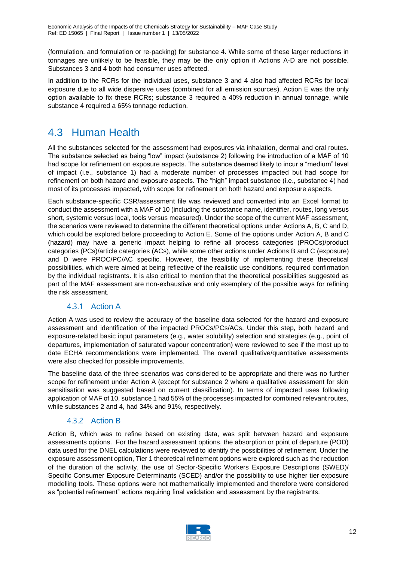(formulation, and formulation or re-packing) for substance 4. While some of these larger reductions in tonnages are unlikely to be feasible, they may be the only option if Actions A-D are not possible. Substances 3 and 4 both had consumer uses affected.

In addition to the RCRs for the individual uses, substance 3 and 4 also had affected RCRs for local exposure due to all wide dispersive uses (combined for all emission sources). Action E was the only option available to fix these RCRs; substance 3 required a 40% reduction in annual tonnage, while substance 4 required a 65% tonnage reduction.

### <span id="page-19-0"></span>4.3 Human Health

All the substances selected for the assessment had exposures via inhalation, dermal and oral routes. The substance selected as being "low" impact (substance 2) following the introduction of a MAF of 10 had scope for refinement on exposure aspects. The substance deemed likely to incur a "medium" level of impact (i.e., substance 1) had a moderate number of processes impacted but had scope for refinement on both hazard and exposure aspects. The "high" impact substance (i.e., substance 4) had most of its processes impacted, with scope for refinement on both hazard and exposure aspects.

Each substance-specific CSR/assessment file was reviewed and converted into an Excel format to conduct the assessment with a MAF of 10 (including the substance name, identifier, routes, long versus short, systemic versus local, tools versus measured). Under the scope of the current MAF assessment, the scenarios were reviewed to determine the different theoretical options under Actions A, B, C and D, which could be explored before proceeding to Action E. Some of the options under Action A, B and C (hazard) may have a generic impact helping to refine all process categories (PROCs)/product categories (PCs)/article categories (ACs), while some other actions under Actions B and C (exposure) and D were PROC/PC/AC specific. However, the feasibility of implementing these theoretical possibilities, which were aimed at being reflective of the realistic use conditions, required confirmation by the individual registrants. It is also critical to mention that the theoretical possibilities suggested as part of the MAF assessment are non-exhaustive and only exemplary of the possible ways for refining the risk assessment.

#### 4.3.1 Action A

<span id="page-19-1"></span>Action A was used to review the accuracy of the baseline data selected for the hazard and exposure assessment and identification of the impacted PROCs/PCs/ACs. Under this step, both hazard and exposure-related basic input parameters (e.g., water solubility) selection and strategies (e.g., point of departures, implementation of saturated vapour concentration) were reviewed to see if the most up to date ECHA recommendations were implemented. The overall qualitative/quantitative assessments were also checked for possible improvements.

The baseline data of the three scenarios was considered to be appropriate and there was no further scope for refinement under Action A (except for substance 2 where a qualitative assessment for skin sensitisation was suggested based on current classification). In terms of impacted uses following application of MAF of 10, substance 1 had 55% of the processes impacted for combined relevant routes, while substances 2 and 4, had 34% and 91%, respectively.

### 4.3.2 Action B

<span id="page-19-2"></span>Action B, which was to refine based on existing data, was split between hazard and exposure assessments options. For the hazard assessment options, the absorption or point of departure (POD) data used for the DNEL calculations were reviewed to identify the possibilities of refinement. Under the exposure assessment option, Tier 1 theoretical refinement options were explored such as the reduction of the duration of the activity, the use of Sector-Specific Workers Exposure Descriptions (SWED)/ Specific Consumer Exposure Determinants (SCED) and/or the possibility to use higher tier exposure modelling tools. These options were not mathematically implemented and therefore were considered as "potential refinement" actions requiring final validation and assessment by the registrants.

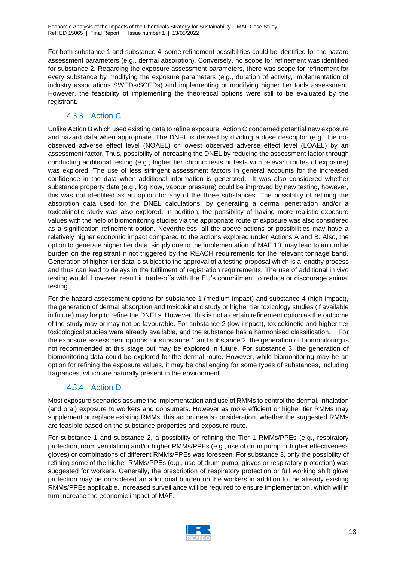For both substance 1 and substance 4, some refinement possibilities could be identified for the hazard assessment parameters (e.g., dermal absorption). Conversely, no scope for refinement was identified for substance 2. Regarding the exposure assessment parameters, there was scope for refinement for every substance by modifying the exposure parameters (e.g., duration of activity, implementation of industry associations SWEDs/SCEDs) and implementing or modifying higher tier tools assessment. However, the feasibility of implementing the theoretical options were still to be evaluated by the registrant.

#### 4.3.3 Action C

<span id="page-20-0"></span>Unlike Action B which used existing data to refine exposure, Action C concerned potential new exposure and hazard data when appropriate. The DNEL is derived by dividing a dose descriptor (e.g., the noobserved adverse effect level (NOAEL) or lowest observed adverse effect level (LOAEL) by an assessment factor. Thus, possibility of increasing the DNEL by reducing the assessment factor through conducting additional testing (e.g., higher tier chronic tests or tests with relevant routes of exposure) was explored. The use of less stringent assessment factors in general accounts for the increased confidence in the data when additional information is generated. It was also considered whether substance property data (e.g., log Kow, vapour pressure) could be improved by new testing, however, this was not identified as an option for any of the three substances. The possibility of refining the absorption data used for the DNEL calculations, by generating a dermal penetration and/or a toxicokinetic study was also explored. In addition, the possibility of having more realistic exposure values with the help of biomonitoring studies via the appropriate route of exposure was also considered as a signification refinement option. Nevertheless, all the above actions or possibilities may have a relatively higher economic impact compared to the actions explored under Actions A and B. Also, the option to generate higher tier data, simply due to the implementation of MAF 10, may lead to an undue burden on the registrant if not triggered by the REACH requirements for the relevant tonnage band. Generation of higher-tier data is subject to the approval of a testing proposal which is a lengthy process and thus can lead to delays in the fulfilment of registration requirements. The use of additional in vivo testing would, however, result in trade-offs with the EU's commitment to reduce or discourage animal testing.

For the hazard assessment options for substance 1 (medium impact) and substance 4 (high impact), the generation of dermal absorption and toxicokinetic study or higher tier toxicology studies (if available in future) may help to refine the DNELs. However, this is not a certain refinement option as the outcome of the study may or may not be favourable. For substance 2 (low impact), toxicokinetic and higher tier toxicological studies were already available, and the substance has a harmonised classification. For the exposure assessment options for substance 1 and substance 2, the generation of biomonitoring is not recommended at this stage but may be explored in future. For substance 3, the generation of biomonitoring data could be explored for the dermal route. However, while biomonitoring may be an option for refining the exposure values, it may be challenging for some types of substances, including fragrances, which are naturally present in the environment.

#### 4.3.4 Action D

<span id="page-20-1"></span>Most exposure scenarios assume the implementation and use of RMMs to control the dermal, inhalation (and oral) exposure to workers and consumers. However as more efficient or higher tier RMMs may supplement or replace existing RMMs, this action needs consideration, whether the suggested RMMs are feasible based on the substance properties and exposure route.

For substance 1 and substance 2, a possibility of refining the Tier 1 RMMs/PPEs (e.g., respiratory protection, room ventilation) and/or higher RMMs/PPEs (e.g., use of drum pump or higher effectiveness gloves) or combinations of different RMMs/PPEs was foreseen. For substance 3, only the possibility of refining some of the higher RMMs/PPEs (e.g., use of drum pump, gloves or respiratory protection) was suggested for workers. Generally, the prescription of respiratory protection or full working shift glove protection may be considered an additional burden on the workers in addition to the already existing RMMs/PPEs applicable. Increased surveillance will be required to ensure implementation, which will in turn increase the economic impact of MAF.

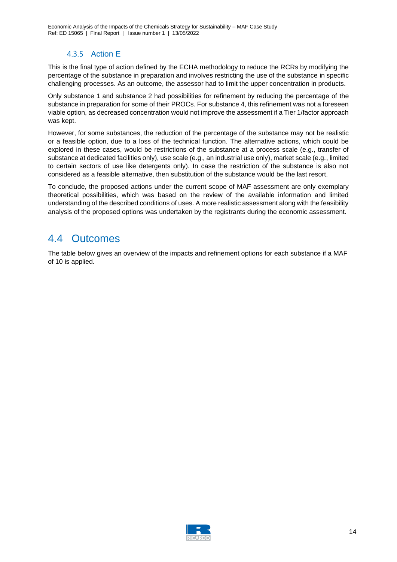#### 4.3.5 Action E

<span id="page-21-0"></span>This is the final type of action defined by the ECHA methodology to reduce the RCRs by modifying the percentage of the substance in preparation and involves restricting the use of the substance in specific challenging processes. As an outcome, the assessor had to limit the upper concentration in products.

Only substance 1 and substance 2 had possibilities for refinement by reducing the percentage of the substance in preparation for some of their PROCs. For substance 4, this refinement was not a foreseen viable option, as decreased concentration would not improve the assessment if a Tier 1/factor approach was kept.

However, for some substances, the reduction of the percentage of the substance may not be realistic or a feasible option, due to a loss of the technical function. The alternative actions, which could be explored in these cases, would be restrictions of the substance at a process scale (e.g., transfer of substance at dedicated facilities only), use scale (e.g., an industrial use only), market scale (e.g., limited to certain sectors of use like detergents only). In case the restriction of the substance is also not considered as a feasible alternative, then substitution of the substance would be the last resort.

To conclude, the proposed actions under the current scope of MAF assessment are only exemplary theoretical possibilities, which was based on the review of the available information and limited understanding of the described conditions of uses. A more realistic assessment along with the feasibility analysis of the proposed options was undertaken by the registrants during the economic assessment.

### <span id="page-21-1"></span>4.4 Outcomes

The table below gives an overview of the impacts and refinement options for each substance if a MAF of 10 is applied.

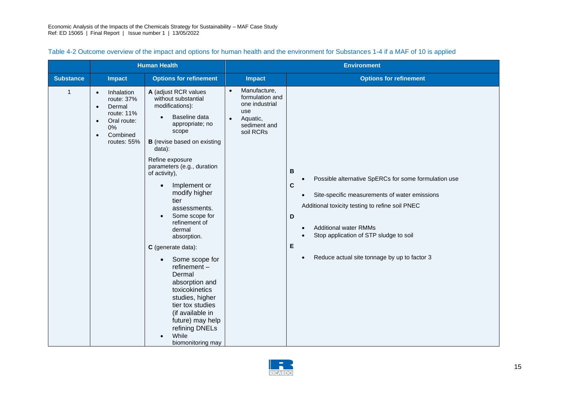<span id="page-22-0"></span>

|                  | <b>Human Health</b>                                                                                                                                  |                                                                                                                                                                                                                                                                                                                                                                                                                                                                                                                                                                                                                     |                        | <b>Environment</b>                                                                                |                                                                                                                                                                                                                                                                                                                                                         |  |
|------------------|------------------------------------------------------------------------------------------------------------------------------------------------------|---------------------------------------------------------------------------------------------------------------------------------------------------------------------------------------------------------------------------------------------------------------------------------------------------------------------------------------------------------------------------------------------------------------------------------------------------------------------------------------------------------------------------------------------------------------------------------------------------------------------|------------------------|---------------------------------------------------------------------------------------------------|---------------------------------------------------------------------------------------------------------------------------------------------------------------------------------------------------------------------------------------------------------------------------------------------------------------------------------------------------------|--|
| <b>Substance</b> | <b>Impact</b>                                                                                                                                        | <b>Options for refinement</b>                                                                                                                                                                                                                                                                                                                                                                                                                                                                                                                                                                                       |                        | <b>Impact</b>                                                                                     | <b>Options for refinement</b>                                                                                                                                                                                                                                                                                                                           |  |
| 1                | Inhalation<br>$\bullet$<br>route: 37%<br>Dermal<br>$\bullet$<br>route: 11%<br>Oral route:<br>$\bullet$<br>0%<br>Combined<br>$\bullet$<br>routes: 55% | A (adjust RCR values<br>without substantial<br>modifications):<br>Baseline data<br>$\bullet$<br>appropriate; no<br>scope<br><b>B</b> (revise based on existing<br>data):<br>Refine exposure<br>parameters (e.g., duration<br>of activity),<br>Implement or<br>modify higher<br>tier<br>assessments.<br>Some scope for<br>refinement of<br>dermal<br>absorption.<br>C (generate data):<br>Some scope for<br>$\bullet$<br>$refinement -$<br>Dermal<br>absorption and<br>toxicokinetics<br>studies, higher<br>tier tox studies<br>(if available in<br>future) may help<br>refining DNELs<br>While<br>biomonitoring may | $\bullet$<br>$\bullet$ | Manufacture,<br>formulation and<br>one industrial<br>use<br>Aquatic,<br>sediment and<br>soil RCRs | B<br>Possible alternative SpERCs for some formulation use<br>$\mathbf c$<br>Site-specific measurements of water emissions<br>$\bullet$<br>Additional toxicity testing to refine soil PNEC<br>D<br><b>Additional water RMMs</b><br>$\bullet$<br>Stop application of STP sludge to soil<br>Е<br>Reduce actual site tonnage by up to factor 3<br>$\bullet$ |  |

#### Table 4-2 Outcome overview of the impact and options for human health and the environment for Substances 1-4 if a MAF of 10 is applied

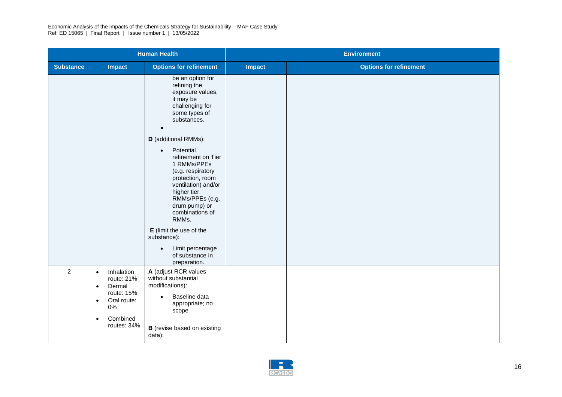|                  | <b>Human Health</b>                                                                                                                                     |                                                                                                                                                                                                                                                                                                                                                  | <b>Environment</b> |                               |  |
|------------------|---------------------------------------------------------------------------------------------------------------------------------------------------------|--------------------------------------------------------------------------------------------------------------------------------------------------------------------------------------------------------------------------------------------------------------------------------------------------------------------------------------------------|--------------------|-------------------------------|--|
| <b>Substance</b> | <b>Impact</b>                                                                                                                                           | <b>Options for refinement</b>                                                                                                                                                                                                                                                                                                                    | <b>Impact</b>      | <b>Options for refinement</b> |  |
|                  |                                                                                                                                                         | be an option for<br>refining the<br>exposure values,<br>it may be<br>challenging for<br>some types of<br>substances.                                                                                                                                                                                                                             |                    |                               |  |
|                  |                                                                                                                                                         | D (additional RMMs):<br>Potential<br>$\bullet$<br>refinement on Tier<br>1 RMMs/PPEs<br>(e.g. respiratory<br>protection, room<br>ventilation) and/or<br>higher tier<br>RMMs/PPEs (e.g.<br>drum pump) or<br>combinations of<br>RMMs.<br>E (limit the use of the<br>substance):<br>Limit percentage<br>$\bullet$<br>of substance in<br>preparation. |                    |                               |  |
| $\overline{2}$   | Inhalation<br>$\bullet$<br>route: 21%<br>Dermal<br>$\bullet$<br>route: 15%<br>Oral route:<br>$\bullet$<br>$0\%$<br>Combined<br>$\bullet$<br>routes: 34% | A (adjust RCR values<br>without substantial<br>modifications):<br>Baseline data<br>$\bullet$<br>appropriate; no<br>scope<br><b>B</b> (revise based on existing<br>data):                                                                                                                                                                         |                    |                               |  |

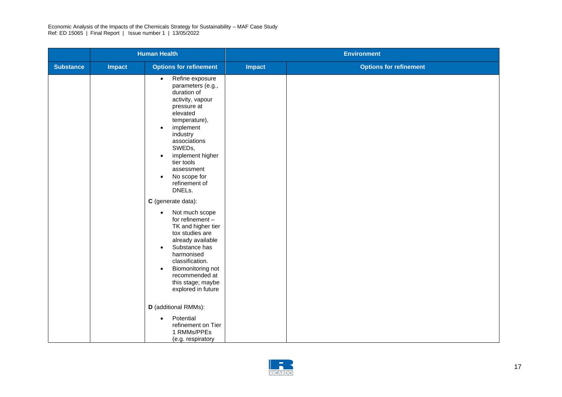|                  | <b>Human Health</b> |                                                                                                                                                                                                                                                                                                                                             | <b>Environment</b> |                               |  |
|------------------|---------------------|---------------------------------------------------------------------------------------------------------------------------------------------------------------------------------------------------------------------------------------------------------------------------------------------------------------------------------------------|--------------------|-------------------------------|--|
| <b>Substance</b> | <b>Impact</b>       | <b>Options for refinement</b>                                                                                                                                                                                                                                                                                                               | <b>Impact</b>      | <b>Options for refinement</b> |  |
|                  |                     | Refine exposure<br>$\bullet$<br>parameters (e.g.,<br>duration of<br>activity, vapour<br>pressure at<br>elevated<br>temperature),<br>implement<br>$\bullet$<br>industry<br>associations<br>SWEDs,<br>implement higher<br>$\bullet$<br>tier tools<br>assessment<br>No scope for<br>$\bullet$<br>refinement of<br>DNELs.<br>C (generate data): |                    |                               |  |
|                  |                     | Not much scope<br>$\bullet$<br>for refinement -<br>TK and higher tier<br>tox studies are<br>already available<br>Substance has<br>$\bullet$<br>harmonised<br>classification.<br>Biomonitoring not<br>$\bullet$<br>recommended at<br>this stage; maybe<br>explored in future                                                                 |                    |                               |  |
|                  |                     | D (additional RMMs):<br>Potential<br>refinement on Tier<br>1 RMMs/PPEs<br>(e.g. respiratory                                                                                                                                                                                                                                                 |                    |                               |  |

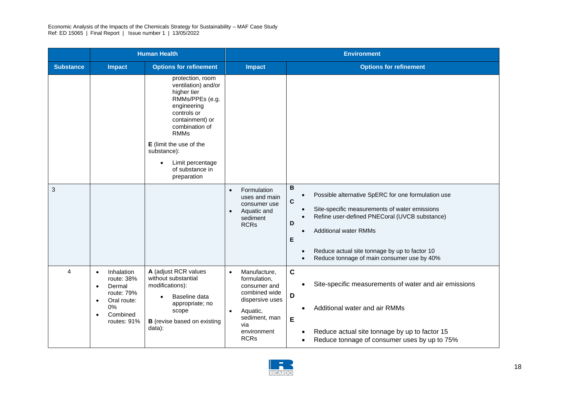|                  | <b>Human Health</b>                                                                                                                                  |                                                                                                                                                                                                                                                             | <b>Environment</b>                                                                                                                                                           |                                                                                                                                                                                                                                                                                                         |  |
|------------------|------------------------------------------------------------------------------------------------------------------------------------------------------|-------------------------------------------------------------------------------------------------------------------------------------------------------------------------------------------------------------------------------------------------------------|------------------------------------------------------------------------------------------------------------------------------------------------------------------------------|---------------------------------------------------------------------------------------------------------------------------------------------------------------------------------------------------------------------------------------------------------------------------------------------------------|--|
| <b>Substance</b> | <b>Impact</b>                                                                                                                                        | <b>Options for refinement</b>                                                                                                                                                                                                                               | <b>Impact</b>                                                                                                                                                                | <b>Options for refinement</b>                                                                                                                                                                                                                                                                           |  |
|                  |                                                                                                                                                      | protection, room<br>ventilation) and/or<br>higher tier<br>RMMs/PPEs (e.g.<br>engineering<br>controls or<br>containment) or<br>combination of<br><b>RMMs</b><br>E (limit the use of the<br>substance):<br>Limit percentage<br>of substance in<br>preparation |                                                                                                                                                                              |                                                                                                                                                                                                                                                                                                         |  |
| 3                |                                                                                                                                                      |                                                                                                                                                                                                                                                             | Formulation<br>$\bullet$<br>uses and main<br>consumer use<br>Aquatic and<br>$\bullet$<br>sediment<br><b>RCRs</b>                                                             | В<br>Possible alternative SpERC for one formulation use<br>C<br>Site-specific measurements of water emissions<br>Refine user-defined PNECoral (UVCB substance)<br>D<br><b>Additional water RMMs</b><br>Е<br>Reduce actual site tonnage by up to factor 10<br>Reduce tonnage of main consumer use by 40% |  |
| 4                | Inhalation<br>$\bullet$<br>route: 38%<br>Dermal<br>$\bullet$<br>route: 79%<br>Oral route:<br>$\bullet$<br>0%<br>Combined<br>$\bullet$<br>routes: 91% | A (adjust RCR values<br>without substantial<br>modifications):<br>Baseline data<br>appropriate; no<br>scope<br><b>B</b> (revise based on existing<br>data):                                                                                                 | Manufacture,<br>$\bullet$<br>formulation,<br>consumer and<br>combined wide<br>dispersive uses<br>Aquatic,<br>$\bullet$<br>sediment, man<br>via<br>environment<br><b>RCRs</b> | C<br>Site-specific measurements of water and air emissions<br>D<br>Additional water and air RMMs<br>Е<br>Reduce actual site tonnage by up to factor 15<br>Reduce tonnage of consumer uses by up to 75%                                                                                                  |  |

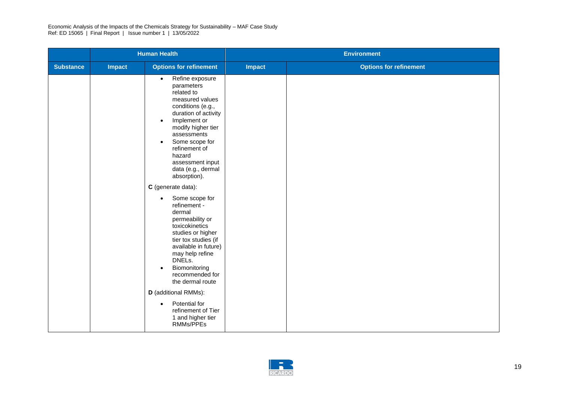|                  | <b>Human Health</b> |                                                                                                                                                                                                                                                                                                                                                                                                                                                                                                                                                                                                                                                                                                                         |        | <b>Environment</b>            |
|------------------|---------------------|-------------------------------------------------------------------------------------------------------------------------------------------------------------------------------------------------------------------------------------------------------------------------------------------------------------------------------------------------------------------------------------------------------------------------------------------------------------------------------------------------------------------------------------------------------------------------------------------------------------------------------------------------------------------------------------------------------------------------|--------|-------------------------------|
| <b>Substance</b> | <b>Impact</b>       | <b>Options for refinement</b>                                                                                                                                                                                                                                                                                                                                                                                                                                                                                                                                                                                                                                                                                           | Impact | <b>Options for refinement</b> |
|                  |                     | Refine exposure<br>$\bullet$<br>parameters<br>related to<br>measured values<br>conditions (e.g.,<br>duration of activity<br>Implement or<br>$\bullet$<br>modify higher tier<br>assessments<br>Some scope for<br>$\bullet$<br>refinement of<br>hazard<br>assessment input<br>data (e.g., dermal<br>absorption).<br>C (generate data):<br>Some scope for<br>$\bullet$<br>refinement -<br>dermal<br>permeability or<br>toxicokinetics<br>studies or higher<br>tier tox studies (if<br>available in future)<br>may help refine<br>DNELs.<br>Biomonitoring<br>$\bullet$<br>recommended for<br>the dermal route<br>D (additional RMMs):<br>Potential for<br>$\bullet$<br>refinement of Tier<br>1 and higher tier<br>RMMs/PPEs |        |                               |

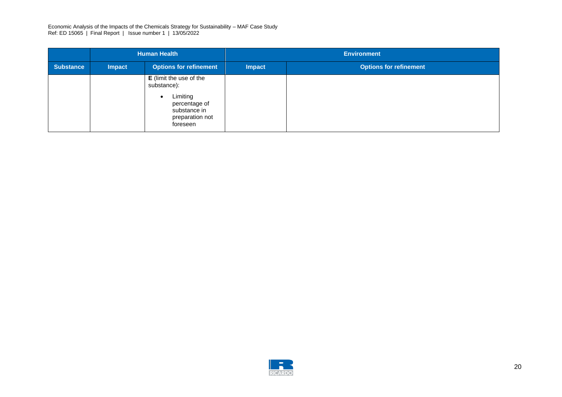|                  | <b>Human Health</b> |                                                                                                                           | <b>Environment</b> |                               |  |
|------------------|---------------------|---------------------------------------------------------------------------------------------------------------------------|--------------------|-------------------------------|--|
| <b>Substance</b> | <b>Impact</b>       | <b>Options for refinement</b>                                                                                             | <b>Impact</b>      | <b>Options for refinement</b> |  |
|                  |                     | <b>E</b> (limit the use of the<br>substance):<br>Limiting<br>percentage of<br>substance in<br>preparation not<br>foreseen |                    |                               |  |

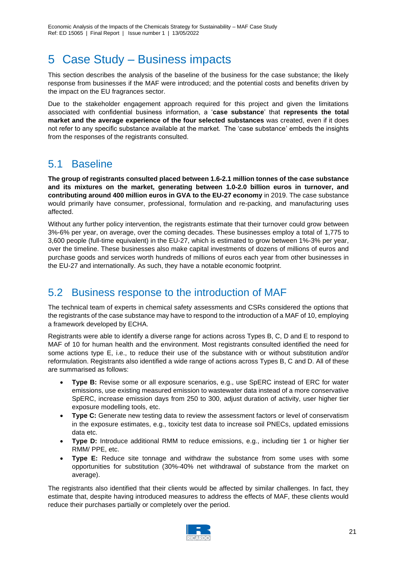# <span id="page-28-0"></span>5 Case Study – Business impacts

This section describes the analysis of the baseline of the business for the case substance; the likely response from businesses if the MAF were introduced; and the potential costs and benefits driven by the impact on the EU fragrances sector.

Due to the stakeholder engagement approach required for this project and given the limitations associated with confidential business information, a '**case substance**' that **represents the total market and the average experience of the four selected substances** was created, even if it does not refer to any specific substance available at the market. The 'case substance' embeds the insights from the responses of the registrants consulted.

### <span id="page-28-1"></span>5.1 Baseline

**The group of registrants consulted placed between 1.6-2.1 million tonnes of the case substance and its mixtures on the market, generating between 1.0-2.0 billion euros in turnover, and contributing around 400 million euros in GVA to the EU-27 economy** in 2019. The case substance would primarily have consumer, professional, formulation and re-packing, and manufacturing uses affected.

Without any further policy intervention, the registrants estimate that their turnover could grow between 3%-6% per year, on average, over the coming decades. These businesses employ a total of 1,775 to 3,600 people (full-time equivalent) in the EU-27, which is estimated to grow between 1%-3% per year, over the timeline. These businesses also make capital investments of dozens of millions of euros and purchase goods and services worth hundreds of millions of euros each year from other businesses in the EU-27 and internationally. As such, they have a notable economic footprint.

### <span id="page-28-2"></span>5.2 Business response to the introduction of MAF

The technical team of experts in chemical safety assessments and CSRs considered the options that the registrants of the case substance may have to respond to the introduction of a MAF of 10, employing a framework developed by ECHA.

Registrants were able to identify a diverse range for actions across Types B, C, D and E to respond to MAF of 10 for human health and the environment. Most registrants consulted identified the need for some actions type E, i.e., to reduce their use of the substance with or without substitution and/or reformulation. Registrants also identified a wide range of actions across Types B, C and D. All of these are summarised as follows:

- **Type B:** Revise some or all exposure scenarios, e.g., use SpERC instead of ERC for water emissions, use existing measured emission to wastewater data instead of a more conservative SpERC, increase emission days from 250 to 300, adjust duration of activity, user higher tier exposure modelling tools, etc.
- **Type C:** Generate new testing data to review the assessment factors or level of conservatism in the exposure estimates, e.g., toxicity test data to increase soil PNECs, updated emissions data etc.
- **Type D:** Introduce additional RMM to reduce emissions, e.g., including tier 1 or higher tier RMM/ PPE, etc.
- **Type E:** Reduce site tonnage and withdraw the substance from some uses with some opportunities for substitution (30%-40% net withdrawal of substance from the market on average).

The registrants also identified that their clients would be affected by similar challenges. In fact, they estimate that, despite having introduced measures to address the effects of MAF, these clients would reduce their purchases partially or completely over the period.

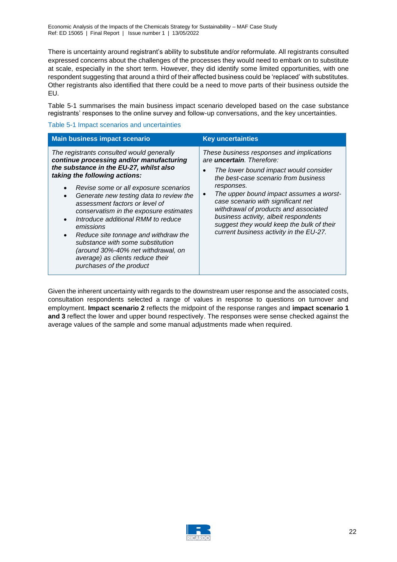There is uncertainty around registrant's ability to substitute and/or reformulate. All registrants consulted expressed concerns about the challenges of the processes they would need to embark on to substitute at scale, especially in the short term. However, they did identify some limited opportunities, with one respondent suggesting that around a third of their affected business could be 'replaced' with substitutes. Other registrants also identified that there could be a need to move parts of their business outside the EU.

[Table 5-1](#page-29-0) summarises the main business impact scenario developed based on the case substance registrants' responses to the online survey and follow-up conversations, and the key uncertainties.

<span id="page-29-0"></span>

|  |  |  |  | Table 5-1 Impact scenarios and uncertainties |
|--|--|--|--|----------------------------------------------|
|--|--|--|--|----------------------------------------------|

| <b>Main business impact scenario</b>                                                                                                                                                                                                                                                                                                                                                                                                                                                                                                                                                                          | <b>Key uncertainties</b>                                                                                                                                                                                                                                                                                                                                                                                                                              |
|---------------------------------------------------------------------------------------------------------------------------------------------------------------------------------------------------------------------------------------------------------------------------------------------------------------------------------------------------------------------------------------------------------------------------------------------------------------------------------------------------------------------------------------------------------------------------------------------------------------|-------------------------------------------------------------------------------------------------------------------------------------------------------------------------------------------------------------------------------------------------------------------------------------------------------------------------------------------------------------------------------------------------------------------------------------------------------|
| The registrants consulted would generally<br>continue processing and/or manufacturing<br>the substance in the EU-27, whilst also<br>taking the following actions:<br>Revise some or all exposure scenarios<br>$\bullet$<br>Generate new testing data to review the<br>assessment factors or level of<br>conservatism in the exposure estimates<br>Introduce additional RMM to reduce<br>$\bullet$<br>emissions<br>Reduce site tonnage and withdraw the<br>$\bullet$<br>substance with some substitution<br>(around 30%-40% net withdrawal, on<br>average) as clients reduce their<br>purchases of the product | These business responses and implications<br>are <i>uncertain</i> . Therefore:<br>The lower bound impact would consider<br>the best-case scenario from business<br>responses.<br>The upper bound impact assumes a worst-<br>$\bullet$<br>case scenario with significant net<br>withdrawal of products and associated<br>business activity, albeit respondents<br>suggest they would keep the bulk of their<br>current business activity in the EU-27. |

Given the inherent uncertainty with regards to the downstream user response and the associated costs, consultation respondents selected a range of values in response to questions on turnover and employment. **Impact scenario 2** reflects the midpoint of the response ranges and **impact scenario 1 and 3** reflect the lower and upper bound respectively. The responses were sense checked against the average values of the sample and some manual adjustments made when required.

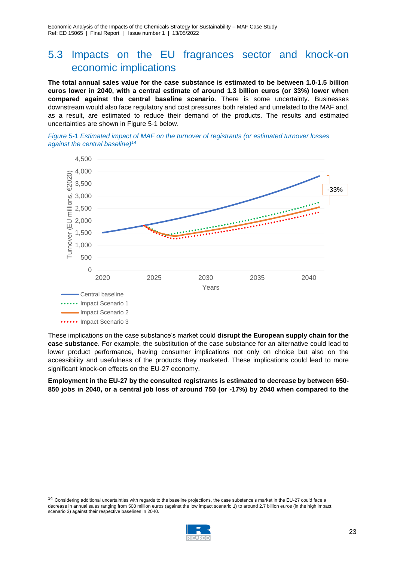### <span id="page-30-0"></span>5.3 Impacts on the EU fragrances sector and knock-on economic implications

**The total annual sales value for the case substance is estimated to be between 1.0-1.5 billion euros lower in 2040, with a central estimate of around 1.3 billion euros (or 33%) lower when compared against the central baseline scenario**. There is some uncertainty. Businesses downstream would also face regulatory and cost pressures both related and unrelated to the MAF and, as a result, are estimated to reduce their demand of the products. The results and estimated uncertainties are shown in [Figure 5-1](#page-30-1) below.

<span id="page-30-1"></span>*Figure* 5-1 *Estimated impact of MAF on the turnover of registrants (or estimated turnover losses against the central baseline)<sup>14</sup>*



These implications on the case substance's market could **disrupt the European supply chain for the case substance**. For example, the substitution of the case substance for an alternative could lead to lower product performance, having consumer implications not only on choice but also on the accessibility and usefulness of the products they marketed. These implications could lead to more significant knock-on effects on the EU-27 economy.

#### **Employment in the EU-27 by the consulted registrants is estimated to decrease by between 650- 850 jobs in 2040, or a central job loss of around 750 (or -17%) by 2040 when compared to the**

<sup>14</sup> Considering additional uncertainties with regards to the baseline projections, the case substance's market in the EU-27 could face a decrease in annual sales ranging from 500 million euros (against the low impact scenario 1) to around 2.7 billion euros (in the high impact scenario 3) against their respective baselines in 2040.

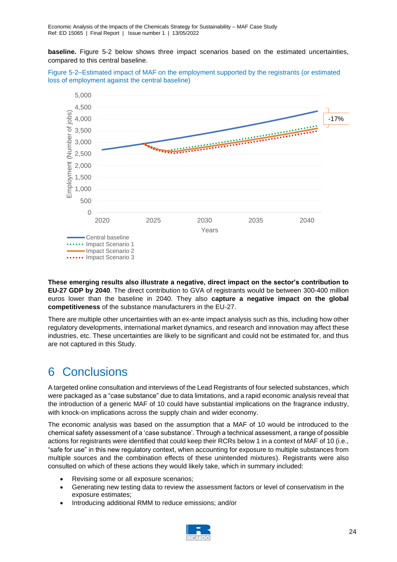**baseline.** [Figure 5-2](#page-31-1) below shows three impact scenarios based on the estimated uncertainties, compared to this central baseline.

<span id="page-31-1"></span>



**These emerging results also illustrate a negative, direct impact on the sector's contribution to EU-27 GDP by 2040**. The direct contribution to GVA of registrants would be between 300-400 million euros lower than the baseline in 2040. They also **capture a negative impact on the global competitiveness** of the substance manufacturers in the EU-27.

There are multiple other uncertainties with an ex-ante impact analysis such as this, including how other regulatory developments, international market dynamics, and research and innovation may affect these industries, etc. These uncertainties are likely to be significant and could not be estimated for, and thus are not captured in this Study.

# <span id="page-31-0"></span>6 Conclusions

A targeted online consultation and interviews of the Lead Registrants of four selected substances, which were packaged as a "case substance" due to data limitations, and a rapid economic analysis reveal that the introduction of a generic MAF of 10 could have substantial implications on the fragrance industry, with knock-on implications across the supply chain and wider economy.

The economic analysis was based on the assumption that a MAF of 10 would be introduced to the chemical safety assessment of a 'case substance'. Through a technical assessment, a range of possible actions for registrants were identified that could keep their RCRs below 1 in a context of MAF of 10 (i.e., "safe for use" in this new regulatory context, when accounting for exposure to multiple substances from multiple sources and the combination effects of these unintended mixtures). Registrants were also consulted on which of these actions they would likely take, which in summary included:

- Revising some or all exposure scenarios;
- Generating new testing data to review the assessment factors or level of conservatism in the exposure estimates;
- Introducing additional RMM to reduce emissions; and/or

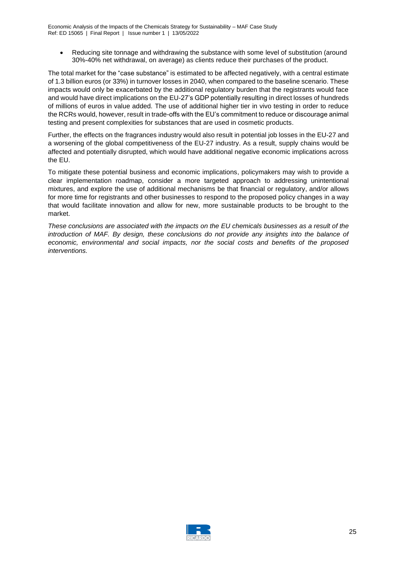• Reducing site tonnage and withdrawing the substance with some level of substitution (around 30%-40% net withdrawal, on average) as clients reduce their purchases of the product.

The total market for the "case substance" is estimated to be affected negatively, with a central estimate of 1.3 billion euros (or 33%) in turnover losses in 2040, when compared to the baseline scenario. These impacts would only be exacerbated by the additional regulatory burden that the registrants would face and would have direct implications on the EU-27's GDP potentially resulting in direct losses of hundreds of millions of euros in value added. The use of additional higher tier in vivo testing in order to reduce the RCRs would, however, result in trade-offs with the EU's commitment to reduce or discourage animal testing and present complexities for substances that are used in cosmetic products.

Further, the effects on the fragrances industry would also result in potential job losses in the EU-27 and a worsening of the global competitiveness of the EU-27 industry. As a result, supply chains would be affected and potentially disrupted, which would have additional negative economic implications across the EU.

To mitigate these potential business and economic implications, policymakers may wish to provide a clear implementation roadmap, consider a more targeted approach to addressing unintentional mixtures, and explore the use of additional mechanisms be that financial or regulatory, and/or allows for more time for registrants and other businesses to respond to the proposed policy changes in a way that would facilitate innovation and allow for new, more sustainable products to be brought to the market.

*These conclusions are associated with the impacts on the EU chemicals businesses as a result of the introduction of MAF. By design, these conclusions do not provide any insights into the balance of economic, environmental and social impacts, nor the social costs and benefits of the proposed interventions.* 

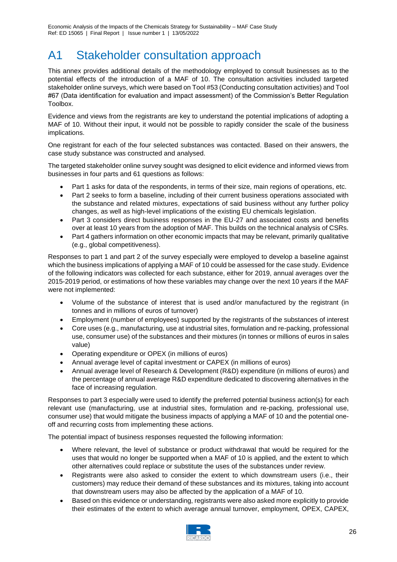# <span id="page-33-0"></span>A1 Stakeholder consultation approach

This annex provides additional details of the methodology employed to consult businesses as to the potential effects of the introduction of a MAF of 10. The consultation activities included targeted stakeholder online surveys, which were based on Tool #53 (Conducting consultation activities) and Tool #67 (Data identification for evaluation and impact assessment) of the Commission's Better Regulation Toolbox.

Evidence and views from the registrants are key to understand the potential implications of adopting a MAF of 10. Without their input, it would not be possible to rapidly consider the scale of the business implications.

One registrant for each of the four selected substances was contacted. Based on their answers, the case study substance was constructed and analysed.

The targeted stakeholder online survey sought was designed to elicit evidence and informed views from businesses in four parts and 61 questions as follows:

- Part 1 asks for data of the respondents, in terms of their size, main regions of operations, etc.
- Part 2 seeks to form a baseline, including of their current business operations associated with the substance and related mixtures, expectations of said business without any further policy changes, as well as high-level implications of the existing EU chemicals legislation.
- Part 3 considers direct business responses in the EU-27 and associated costs and benefits over at least 10 years from the adoption of MAF. This builds on the technical analysis of CSRs.
- Part 4 gathers information on other economic impacts that may be relevant, primarily qualitative (e.g., global competitiveness).

Responses to part 1 and part 2 of the survey especially were employed to develop a baseline against which the business implications of applying a MAF of 10 could be assessed for the case study. Evidence of the following indicators was collected for each substance, either for 2019, annual averages over the 2015-2019 period, or estimations of how these variables may change over the next 10 years if the MAF were not implemented:

- Volume of the substance of interest that is used and/or manufactured by the registrant (in tonnes and in millions of euros of turnover)
- Employment (number of employees) supported by the registrants of the substances of interest
- Core uses (e.g., manufacturing, use at industrial sites, formulation and re-packing, professional use, consumer use) of the substances and their mixtures (in tonnes or millions of euros in sales value)
- Operating expenditure or OPEX (in millions of euros)
- Annual average level of capital investment or CAPEX (in millions of euros)
- Annual average level of Research & Development (R&D) expenditure (in millions of euros) and the percentage of annual average R&D expenditure dedicated to discovering alternatives in the face of increasing regulation.

Responses to part 3 especially were used to identify the preferred potential business action(s) for each relevant use (manufacturing, use at industrial sites, formulation and re-packing, professional use, consumer use) that would mitigate the business impacts of applying a MAF of 10 and the potential oneoff and recurring costs from implementing these actions.

The potential impact of business responses requested the following information:

- Where relevant, the level of substance or product withdrawal that would be required for the uses that would no longer be supported when a MAF of 10 is applied, and the extent to which other alternatives could replace or substitute the uses of the substances under review.
- Registrants were also asked to consider the extent to which downstream users (i.e., their customers) may reduce their demand of these substances and its mixtures, taking into account that downstream users may also be affected by the application of a MAF of 10.
- Based on this evidence or understanding, registrants were also asked more explicitly to provide their estimates of the extent to which average annual turnover, employment, OPEX, CAPEX,

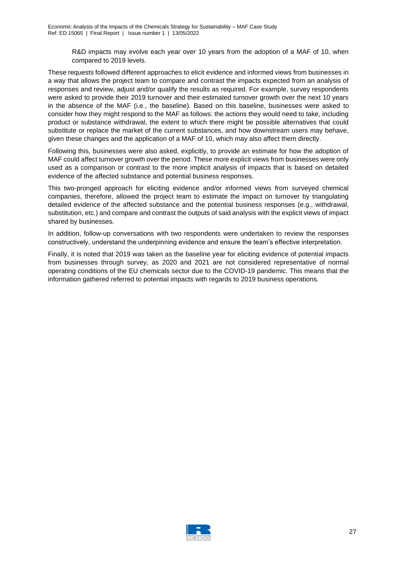R&D impacts may evolve each year over 10 years from the adoption of a MAF of 10, when compared to 2019 levels.

These requests followed different approaches to elicit evidence and informed views from businesses in a way that allows the project team to compare and contrast the impacts expected from an analysis of responses and review, adjust and/or qualify the results as required. For example, survey respondents were asked to provide their 2019 turnover and their estimated turnover growth over the next 10 years in the absence of the MAF (i.e., the baseline). Based on this baseline, businesses were asked to consider how they might respond to the MAF as follows: the actions they would need to take, including product or substance withdrawal, the extent to which there might be possible alternatives that could substitute or replace the market of the current substances, and how downstream users may behave, given these changes and the application of a MAF of 10, which may also affect them directly.

Following this, businesses were also asked, explicitly, to provide an estimate for how the adoption of MAF could affect turnover growth over the period. These more explicit views from businesses were only used as a comparison or contrast to the more implicit analysis of impacts that is based on detailed evidence of the affected substance and potential business responses.

This two-pronged approach for eliciting evidence and/or informed views from surveyed chemical companies, therefore, allowed the project team to estimate the impact on turnover by triangulating detailed evidence of the affected substance and the potential business responses (e.g., withdrawal, substitution, etc.) and compare and contrast the outputs of said analysis with the explicit views of impact shared by businesses.

In addition, follow-up conversations with two respondents were undertaken to review the responses constructively, understand the underpinning evidence and ensure the team's effective interpretation.

Finally, it is noted that 2019 was taken as the baseline year for eliciting evidence of potential impacts from businesses through survey, as 2020 and 2021 are not considered representative of normal operating conditions of the EU chemicals sector due to the COVID-19 pandemic. This means that the information gathered referred to potential impacts with regards to 2019 business operations.

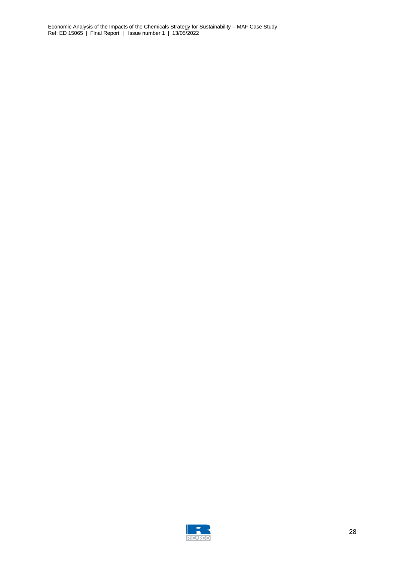